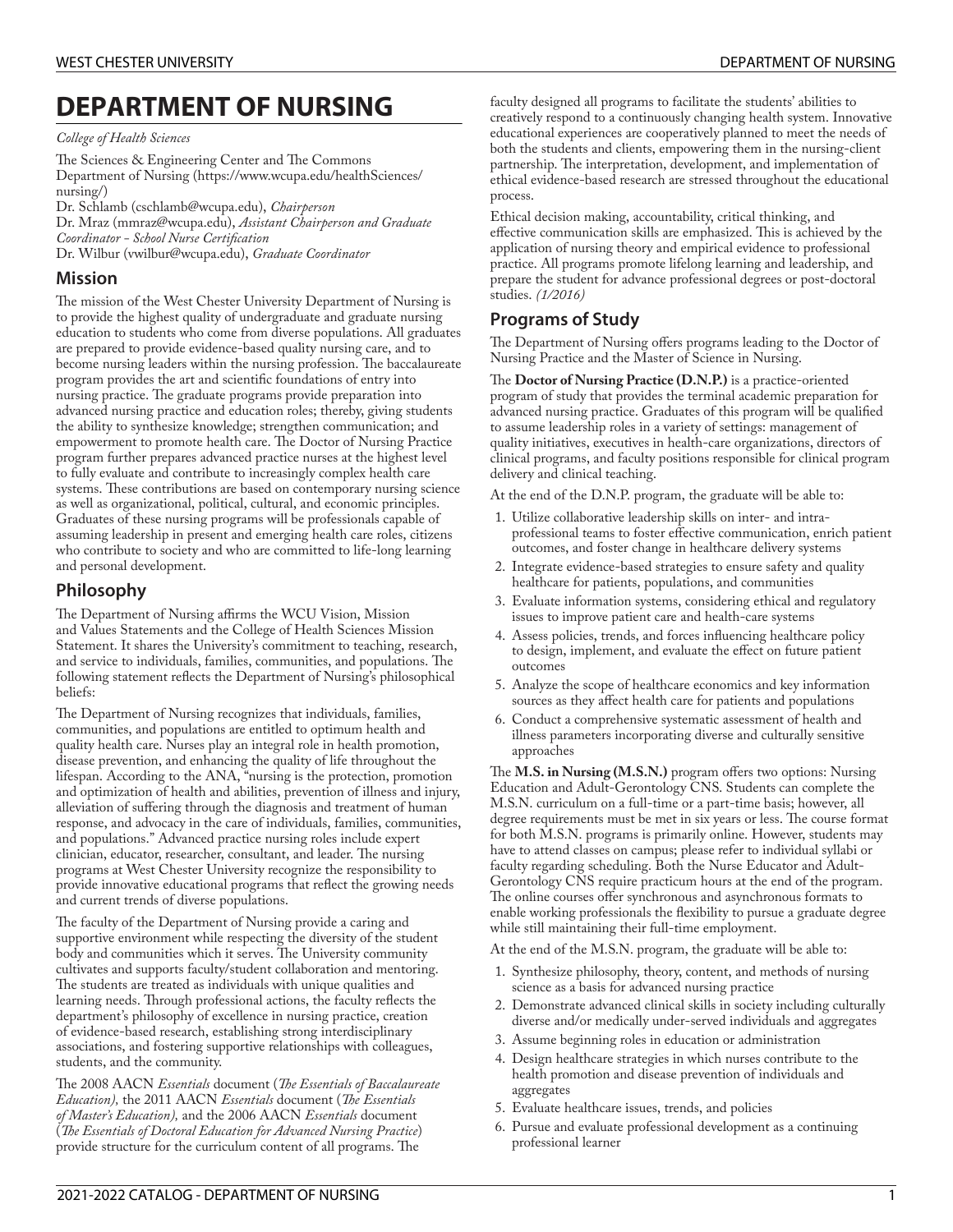# **DEPARTMENT OF NURSING**

*College of Health Sciences*

The Sciences & Engineering Center and The Commons [Department](https://www.wcupa.edu/healthSciences/nursing/) of Nursing ([https://www.wcupa.edu/healthSciences/](https://www.wcupa.edu/healthSciences/nursing/) [nursing/](https://www.wcupa.edu/healthSciences/nursing/))

Dr. [Schlamb](mailto:cschlamb@wcupa.edu) [\(cschlamb@wcupa.edu](cschlamb@wcupa.edu)), *Chairperson* Dr. [Mraz](mailto:mmraz@wcupa.edu) [\(mmraz@wcupa.edu](mmraz@wcupa.edu)), *Assistant Chairperson and Graduate Coordinator - School Nurse Certication*

Dr. [Wilbur](mailto:vwilbur@wcupa.edu) [\(vwilbur@wcupa.edu\)](vwilbur@wcupa.edu), *Graduate Coordinator*

### **Mission**

The mission of the West Chester University Department of Nursing is to provide the highest quality of undergraduate and graduate nursing education to students who come from diverse populations. All graduates are prepared to provide evidence-based quality nursing care, and to become nursing leaders within the nursing profession. The baccalaureate program provides the art and scientific foundations of entry into nursing practice. The graduate programs provide preparation into advanced nursing practice and education roles; thereby, giving students the ability to synthesize knowledge; strengthen communication; and empowerment to promote health care. The Doctor of Nursing Practice program further prepares advanced practice nurses at the highest level to fully evaluate and contribute to increasingly complex health care systems. These contributions are based on contemporary nursing science as well as organizational, political, cultural, and economic principles. Graduates of these nursing programs will be professionals capable of assuming leadership in present and emerging health care roles, citizens who contribute to society and who are committed to life-long learning and personal development.

### **Philosophy**

The Department of Nursing affirms the WCU Vision, Mission and Values Statements and the College of Health Sciences Mission Statement. It shares the University's commitment to teaching, research, and service to individuals, families, communities, and populations. The following statement reflects the Department of Nursing's philosophical beliefs:

The Department of Nursing recognizes that individuals, families, communities, and populations are entitled to optimum health and quality health care. Nurses play an integral role in health promotion, disease prevention, and enhancing the quality of life throughout the lifespan. According to the ANA, "nursing is the protection, promotion and optimization of health and abilities, prevention of illness and injury, alleviation of suffering through the diagnosis and treatment of human response, and advocacy in the care of individuals, families, communities, and populations." Advanced practice nursing roles include expert clinician, educator, researcher, consultant, and leader. The nursing programs at West Chester University recognize the responsibility to provide innovative educational programs that reflect the growing needs and current trends of diverse populations.

The faculty of the Department of Nursing provide a caring and supportive environment while respecting the diversity of the student body and communities which it serves. The University community cultivates and supports faculty/student collaboration and mentoring. The students are treated as individuals with unique qualities and learning needs. Through professional actions, the faculty reflects the department's philosophy of excellence in nursing practice, creation of evidence-based research, establishing strong interdisciplinary associations, and fostering supportive relationships with colleagues, students, and the community.

The 2008 AACN *Essentials* document (*The Essentials of Baccalaureate Education*), the 2011 AACN *Essentials* document (*The Essentials of Master's Education),* and the 2006 AACN *Essentials* document (*e Essentials of Doctoral Education for Advanced Nursing Practice*) provide structure for the curriculum content of all programs. The

faculty designed all programs to facilitate the students' abilities to creatively respond to a continuously changing health system. Innovative educational experiences are cooperatively planned to meet the needs of both the students and clients, empowering them in the nursing-client partnership. The interpretation, development, and implementation of ethical evidence-based research are stressed throughout the educational process.

Ethical decision making, accountability, critical thinking, and effective communication skills are emphasized. This is achieved by the application of nursing theory and empirical evidence to professional practice. All programs promote lifelong learning and leadership, and prepare the student for advance professional degrees or post-doctoral studies. *(1/2016)*

# **Programs of Study**

The Department of Nursing offers programs leading to the Doctor of Nursing Practice and the Master of Science in Nursing.

e **Doctor of Nursing Practice (D.N.P.)** is a practice-oriented program of study that provides the terminal academic preparation for advanced nursing practice. Graduates of this program will be qualified to assume leadership roles in a variety of settings: management of quality initiatives, executives in health-care organizations, directors of clinical programs, and faculty positions responsible for clinical program delivery and clinical teaching.

At the end of the D.N.P. program, the graduate will be able to:

- 1. Utilize collaborative leadership skills on inter- and intraprofessional teams to foster effective communication, enrich patient outcomes, and foster change in healthcare delivery systems
- 2. Integrate evidence-based strategies to ensure safety and quality healthcare for patients, populations, and communities
- 3. Evaluate information systems, considering ethical and regulatory issues to improve patient care and health-care systems
- 4. Assess policies, trends, and forces influencing healthcare policy to design, implement, and evaluate the effect on future patient outcomes
- 5. Analyze the scope of healthcare economics and key information sources as they affect health care for patients and populations
- 6. Conduct a comprehensive systematic assessment of health and illness parameters incorporating diverse and culturally sensitive approaches

e **M.S. in Nursing (M.S.N.)** program offers two options: Nursing Education and Adult-Gerontology CNS. Students can complete the M.S.N. curriculum on a full-time or a part-time basis; however, all degree requirements must be met in six years or less. The course format for both M.S.N. programs is primarily online. However, students may have to attend classes on campus; please refer to individual syllabi or faculty regarding scheduling. Both the Nurse Educator and Adult-Gerontology CNS require practicum hours at the end of the program. The online courses offer synchronous and asynchronous formats to enable working professionals the flexibility to pursue a graduate degree while still maintaining their full-time employment.

At the end of the M.S.N. program, the graduate will be able to:

- 1. Synthesize philosophy, theory, content, and methods of nursing science as a basis for advanced nursing practice
- 2. Demonstrate advanced clinical skills in society including culturally diverse and/or medically under-served individuals and aggregates
- 3. Assume beginning roles in education or administration
- 4. Design healthcare strategies in which nurses contribute to the health promotion and disease prevention of individuals and aggregates
- 5. Evaluate healthcare issues, trends, and policies
- 6. Pursue and evaluate professional development as a continuing professional learner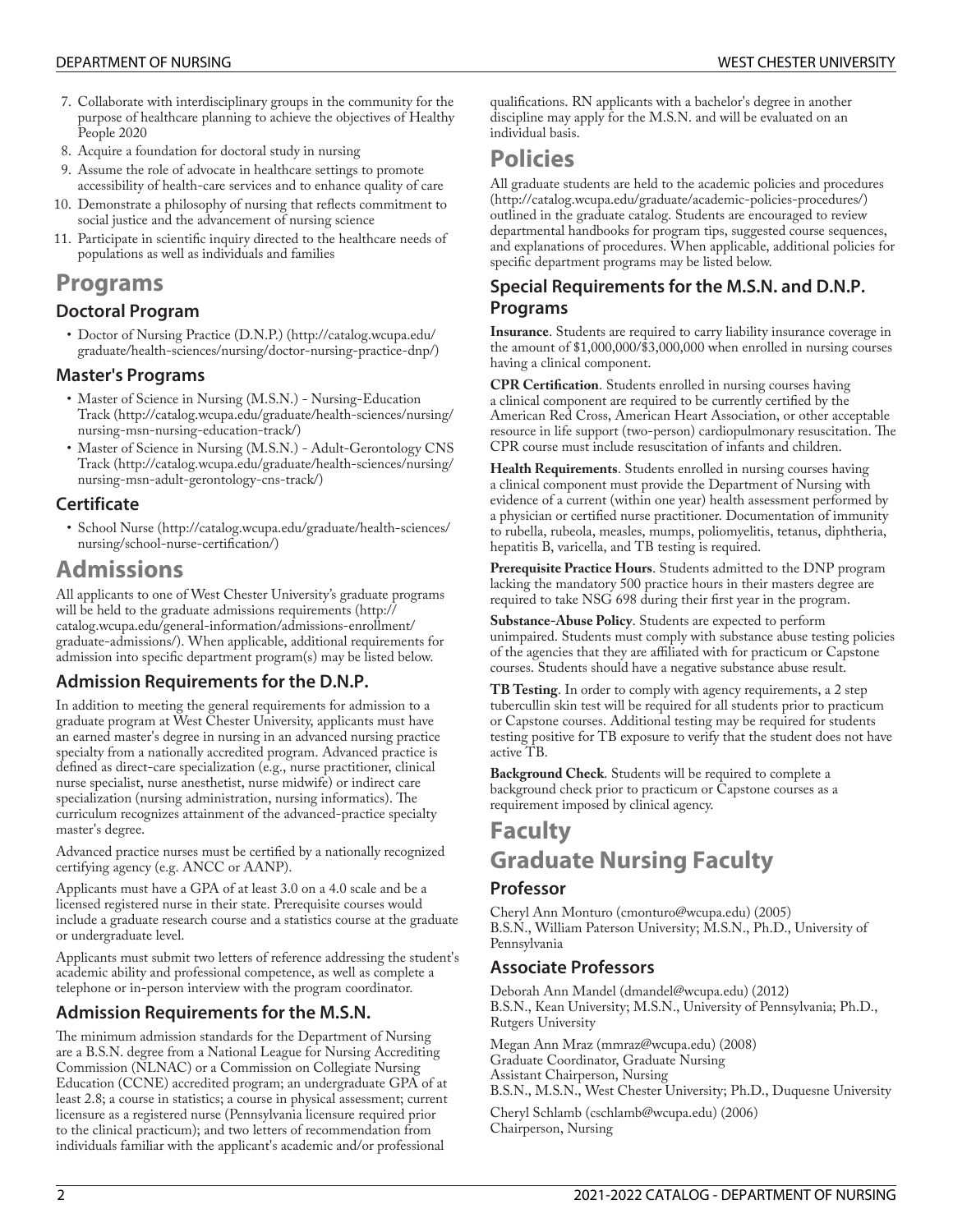- 7. Collaborate with interdisciplinary groups in the community for the purpose of healthcare planning to achieve the objectives of Healthy People 2020
- 8. Acquire a foundation for doctoral study in nursing
- 9. Assume the role of advocate in healthcare settings to promote accessibility of health-care services and to enhance quality of care
- 10. Demonstrate a philosophy of nursing that reflects commitment to social justice and the advancement of nursing science
- 11. Participate in scientific inquiry directed to the healthcare needs of populations as well as individuals and families

# **Programs**

## **Doctoral Program**

• Doctor of Nursing Practice [\(D.N.P.\) \(http://catalog.wcupa.edu/](http://catalog.wcupa.edu/graduate/health-sciences/nursing/doctor-nursing-practice-dnp/) [graduate/health-sciences/nursing/doctor-nursing-practice-dnp/](http://catalog.wcupa.edu/graduate/health-sciences/nursing/doctor-nursing-practice-dnp/))

### **Master's Programs**

- Master of Science in Nursing (M.S.N.) [Nursing-Education](http://catalog.wcupa.edu/graduate/health-sciences/nursing/nursing-msn-nursing-education-track/) [Track](http://catalog.wcupa.edu/graduate/health-sciences/nursing/nursing-msn-nursing-education-track/) ([http://catalog.wcupa.edu/graduate/health-sciences/nursing/](http://catalog.wcupa.edu/graduate/health-sciences/nursing/nursing-msn-nursing-education-track/) [nursing-msn-nursing-education-track/\)](http://catalog.wcupa.edu/graduate/health-sciences/nursing/nursing-msn-nursing-education-track/)
- Master of Science in Nursing (M.S.N.) [Adult-Gerontology](http://catalog.wcupa.edu/graduate/health-sciences/nursing/nursing-msn-adult-gerontology-cns-track/) CNS [Track](http://catalog.wcupa.edu/graduate/health-sciences/nursing/nursing-msn-adult-gerontology-cns-track/) ([http://catalog.wcupa.edu/graduate/health-sciences/nursing/](http://catalog.wcupa.edu/graduate/health-sciences/nursing/nursing-msn-adult-gerontology-cns-track/) [nursing-msn-adult-gerontology-cns-track/\)](http://catalog.wcupa.edu/graduate/health-sciences/nursing/nursing-msn-adult-gerontology-cns-track/)

## **Certificate**

• [School](http://catalog.wcupa.edu/graduate/health-sciences/nursing/school-nurse-certification/) Nurse [\(http://catalog.wcupa.edu/graduate/health-sciences/](http://catalog.wcupa.edu/graduate/health-sciences/nursing/school-nurse-certification/) nursing/school-nurse-certification/)

# **Admissions**

All applicants to one of West Chester University's graduate programs will be held to the graduate admissions [requirements \(http://](http://catalog.wcupa.edu/general-information/admissions-enrollment/graduate-admissions/) [catalog.wcupa.edu/general-information/admissions-enrollment/](http://catalog.wcupa.edu/general-information/admissions-enrollment/graduate-admissions/) [graduate-admissions/](http://catalog.wcupa.edu/general-information/admissions-enrollment/graduate-admissions/)). When applicable, additional requirements for admission into specific department program(s) may be listed below.

## **Admission Requirements for the D.N.P.**

In addition to meeting the general requirements for admission to a graduate program at West Chester University, applicants must have an earned master's degree in nursing in an advanced nursing practice specialty from a nationally accredited program. Advanced practice is defined as direct-care specialization (e.g., nurse practitioner, clinical nurse specialist, nurse anesthetist, nurse midwife) or indirect care specialization (nursing administration, nursing informatics). The curriculum recognizes attainment of the advanced-practice specialty master's degree.

Advanced practice nurses must be certified by a nationally recognized certifying agency (e.g. ANCC or AANP).

Applicants must have a GPA of at least 3.0 on a 4.0 scale and be a licensed registered nurse in their state. Prerequisite courses would include a graduate research course and a statistics course at the graduate or undergraduate level.

Applicants must submit two letters of reference addressing the student's academic ability and professional competence, as well as complete a telephone or in-person interview with the program coordinator.

# **Admission Requirements for the M.S.N.**

The minimum admission standards for the Department of Nursing are a B.S.N. degree from a National League for Nursing Accrediting Commission (NLNAC) or a Commission on Collegiate Nursing Education (CCNE) accredited program; an undergraduate GPA of at least 2.8; a course in statistics; a course in physical assessment; current licensure as a registered nurse (Pennsylvania licensure required prior to the clinical practicum); and two letters of recommendation from individuals familiar with the applicant's academic and/or professional

qualifications. RN applicants with a bachelor's degree in another discipline may apply for the M.S.N. and will be evaluated on an individual basis.

# **Policies**

All graduate students are held to the academic policies and [procedures](http://catalog.wcupa.edu/graduate/academic-policies-procedures/) ([http://catalog.wcupa.edu/graduate/academic-policies-procedures/\)](http://catalog.wcupa.edu/graduate/academic-policies-procedures/) outlined in the graduate catalog. Students are encouraged to review departmental handbooks for program tips, suggested course sequences, and explanations of procedures. When applicable, additional policies for specific department programs may be listed below.

## **Special Requirements for the M.S.N. and D.N.P. Programs**

**Insurance**. Students are required to carry liability insurance coverage in the amount of \$1,000,000/\$3,000,000 when enrolled in nursing courses having a clinical component.

**CPR Certification.** Students enrolled in nursing courses having a clinical component are required to be currently certified by the American Red Cross, American Heart Association, or other acceptable resource in life support (two-person) cardiopulmonary resuscitation. The CPR course must include resuscitation of infants and children.

**Health Requirements**. Students enrolled in nursing courses having a clinical component must provide the Department of Nursing with evidence of a current (within one year) health assessment performed by a physician or certified nurse practitioner. Documentation of immunity to rubella, rubeola, measles, mumps, poliomyelitis, tetanus, diphtheria, hepatitis B, varicella, and TB testing is required.

**Prerequisite Practice Hours**. Students admitted to the DNP program lacking the mandatory 500 practice hours in their masters degree are required to take NSG 698 during their first year in the program.

**Substance-Abuse Policy**. Students are expected to perform unimpaired. Students must comply with substance abuse testing policies of the agencies that they are affiliated with for practicum or Capstone courses. Students should have a negative substance abuse result.

**TB Testing**. In order to comply with agency requirements, a 2 step tubercullin skin test will be required for all students prior to practicum or Capstone courses. Additional testing may be required for students testing positive for TB exposure to verify that the student does not have active TB.

**Background Check**. Students will be required to complete a background check prior to practicum or Capstone courses as a requirement imposed by clinical agency.

# **Faculty Graduate Nursing Faculty**

## **Professor**

Cheryl Ann [Monturo](mailto:cmonturo@wcupa.edu) [\(cmonturo@wcupa.edu](cmonturo@wcupa.edu)) (2005) B.S.N., William Paterson University; M.S.N., Ph.D., University of Pennsylvania

## **Associate Professors**

[Deborah](mailto:dmandel@wcupa.edu) Ann Mandel [\(dmandel@wcupa.edu\)](dmandel@wcupa.edu) (2012) B.S.N., Kean University; M.S.N., University of Pennsylvania; Ph.D., Rutgers University

[Megan](mailto:mmraz@wcupa.edu) Ann Mraz [\(mmraz@wcupa.edu](mmraz@wcupa.edu)) (2008) Graduate Coordinator, Graduate Nursing Assistant Chairperson, Nursing B.S.N., M.S.N., West Chester University; Ph.D., Duquesne University

Cheryl [Schlamb](mailto:cschlamb@wcupa.edu) [\(cschlamb@wcupa.edu\)](cschlamb@wcupa.edu) (2006) Chairperson, Nursing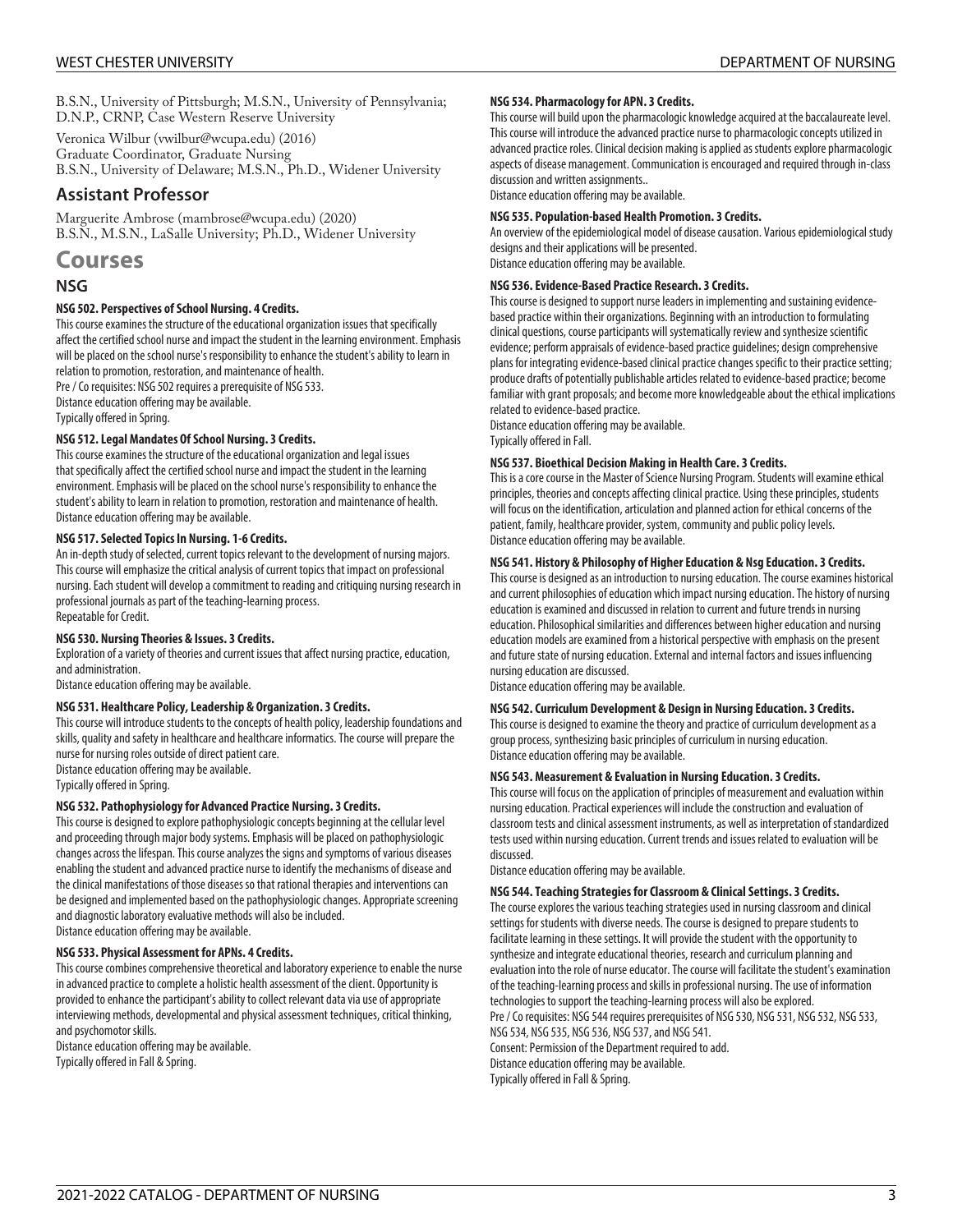B.S.N., University of Pittsburgh; M.S.N., University of Pennsylvania; D.N.P., CRNP, Case Western Reserve University

[Veronica](mailto:vwilbur@wcupa.edu) Wilbur (<vwilbur@wcupa.edu>) (2016) Graduate Coordinator, Graduate Nursing B.S.N., University of Delaware; M.S.N., Ph.D., Widener University

### **Assistant Professor**

[Marguerite](mailto:mambrose@wcupa.edu) Ambrose [\(mambrose@wcupa.edu\)](mambrose@wcupa.edu) (2020) B.S.N., M.S.N., LaSalle University; Ph.D., Widener University

## **Courses**

### **NSG**

#### **NSG 502. Perspectives of School Nursing. 4 Credits.**

This course examines the structure of the educational organization issues that specifically affect the certified school nurse and impact the student in the learning environment. Emphasis will be placed on the school nurse's responsibility to enhance the student's ability to learn in relation to promotion, restoration, and maintenance of health.

Pre / Co requisites: NSG 502 requires a prerequisite of NSG 533. Distance education offering may be available.

Typically offered in Spring.

#### **NSG 512. Legal Mandates Of School Nursing. 3 Credits.**

This course examines the structure of the educational organization and legal issues that specifically affect the certified school nurse and impact the student in the learning environment. Emphasis will be placed on the school nurse's responsibility to enhance the student's ability to learn in relation to promotion, restoration and maintenance of health. Distance education offering may be available.

#### **NSG 517. Selected Topics In Nursing. 1-6 Credits.**

An in-depth study of selected, current topics relevant to the development of nursing majors. This course will emphasize the critical analysis of current topics that impact on professional nursing. Each student will develop a commitment to reading and critiquing nursing research in professional journals as part of the teaching-learning process. Repeatable for Credit.

#### **NSG 530. Nursing Theories & Issues. 3 Credits.**

Exploration of a variety of theories and current issues that affect nursing practice, education, and administration.

Distance education offering may be available.

#### **NSG 531. Healthcare Policy, Leadership & Organization. 3 Credits.**

This course will introduce students to the concepts of health policy, leadership foundations and skills, quality and safety in healthcare and healthcare informatics. The course will prepare the nurse for nursing roles outside of direct patient care. Distance education offering may be available.

Typically offered in Spring.

#### **NSG 532. Pathophysiology for Advanced Practice Nursing. 3 Credits.**

This course is designed to explore pathophysiologic concepts beginning at the cellular level and proceeding through major body systems. Emphasis will be placed on pathophysiologic changes across the lifespan. This course analyzes the signs and symptoms of various diseases enabling the student and advanced practice nurse to identify the mechanisms of disease and the clinical manifestations of those diseases so that rational therapies and interventions can be designed and implemented based on the pathophysiologic changes. Appropriate screening and diagnostic laboratory evaluative methods will also be included. Distance education offering may be available.

#### **NSG 533. Physical Assessment for APNs. 4 Credits.**

This course combines comprehensive theoretical and laboratory experience to enable the nurse in advanced practice to complete a holistic health assessment of the client. Opportunity is provided to enhance the participant's ability to collect relevant data via use of appropriate interviewing methods, developmental and physical assessment techniques, critical thinking, and psychomotor skills.

Distance education offering may be available. Typically offered in Fall & Spring.

#### **NSG 534. Pharmacology for APN. 3 Credits.**

This course will build upon the pharmacologic knowledge acquired at the baccalaureate level. This course will introduce the advanced practice nurse to pharmacologic concepts utilized in advanced practice roles. Clinical decision making is applied as students explore pharmacologic aspects of disease management. Communication is encouraged and required through in-class discussion and written assignments..

Distance education offering may be available.

#### **NSG 535. Population-based Health Promotion. 3 Credits.**

An overview of the epidemiological model of disease causation. Various epidemiological study designs and their applications will be presented. Distance education offering may be available.

#### **NSG 536. Evidence-Based Practice Research. 3 Credits.**

This course is designed to support nurse leaders in implementing and sustaining evidencebased practice within their organizations. Beginning with an introduction to formulating clinical questions, course participants will systematically review and synthesize scientific evidence; perform appraisals of evidence-based practice guidelines; design comprehensive plans for integrating evidence-based clinical practice changes specific to their practice setting; produce drafts of potentially publishable articles related to evidence-based practice; become familiar with grant proposals; and become more knowledgeable about the ethical implications related to evidence-based practice.

Distance education offering may be available. Typically offered in Fall.

#### **NSG 537. Bioethical Decision Making in Health Care. 3 Credits.**

This is a core course in the Master of Science Nursing Program. Students will examine ethical principles, theories and concepts affecting clinical practice. Using these principles, students will focus on the identification, articulation and planned action for ethical concerns of the patient, family, healthcare provider, system, community and public policy levels. Distance education offering may be available.

#### **NSG 541. History & Philosophy of Higher Education & Nsg Education. 3 Credits.**

This course is designed as an introduction to nursing education. The course examines historical and current philosophies of education which impact nursing education. The history of nursing education is examined and discussed in relation to current and future trends in nursing education. Philosophical similarities and differences between higher education and nursing education models are examined from a historical perspective with emphasis on the present and future state of nursing education. External and internal factors and issues influencing nursing education are discussed.

Distance education offering may be available.

#### **NSG 542. Curriculum Development & Design in Nursing Education. 3 Credits.**

This course is designed to examine the theory and practice of curriculum development as a group process, synthesizing basic principles of curriculum in nursing education. Distance education offering may be available.

#### **NSG 543. Measurement & Evaluation in Nursing Education. 3 Credits.**

This course will focus on the application of principles of measurement and evaluation within nursing education. Practical experiences will include the construction and evaluation of classroom tests and clinical assessment instruments, as well as interpretation of standardized tests used within nursing education. Current trends and issues related to evaluation will be discussed.

Distance education offering may be available.

#### **NSG 544. Teaching Strategies for Classroom & Clinical Settings. 3 Credits.**

The course explores the various teaching strategies used in nursing classroom and clinical settings for students with diverse needs. The course is designed to prepare students to facilitate learning in these settings. It will provide the student with the opportunity to synthesize and integrate educational theories, research and curriculum planning and evaluation into the role of nurse educator. The course will facilitate the student's examination of the teaching-learning process and skills in professional nursing. The use of information technologies to support the teaching-learning process will also be explored. Pre / Co requisites: NSG 544 requires prerequisites of NSG 530, NSG 531, NSG 532, NSG 533, NSG 534, NSG 535, NSG 536, NSG 537, and NSG 541. Consent: Permission of the Department required to add. Distance education offering may be available. Typically offered in Fall & Spring.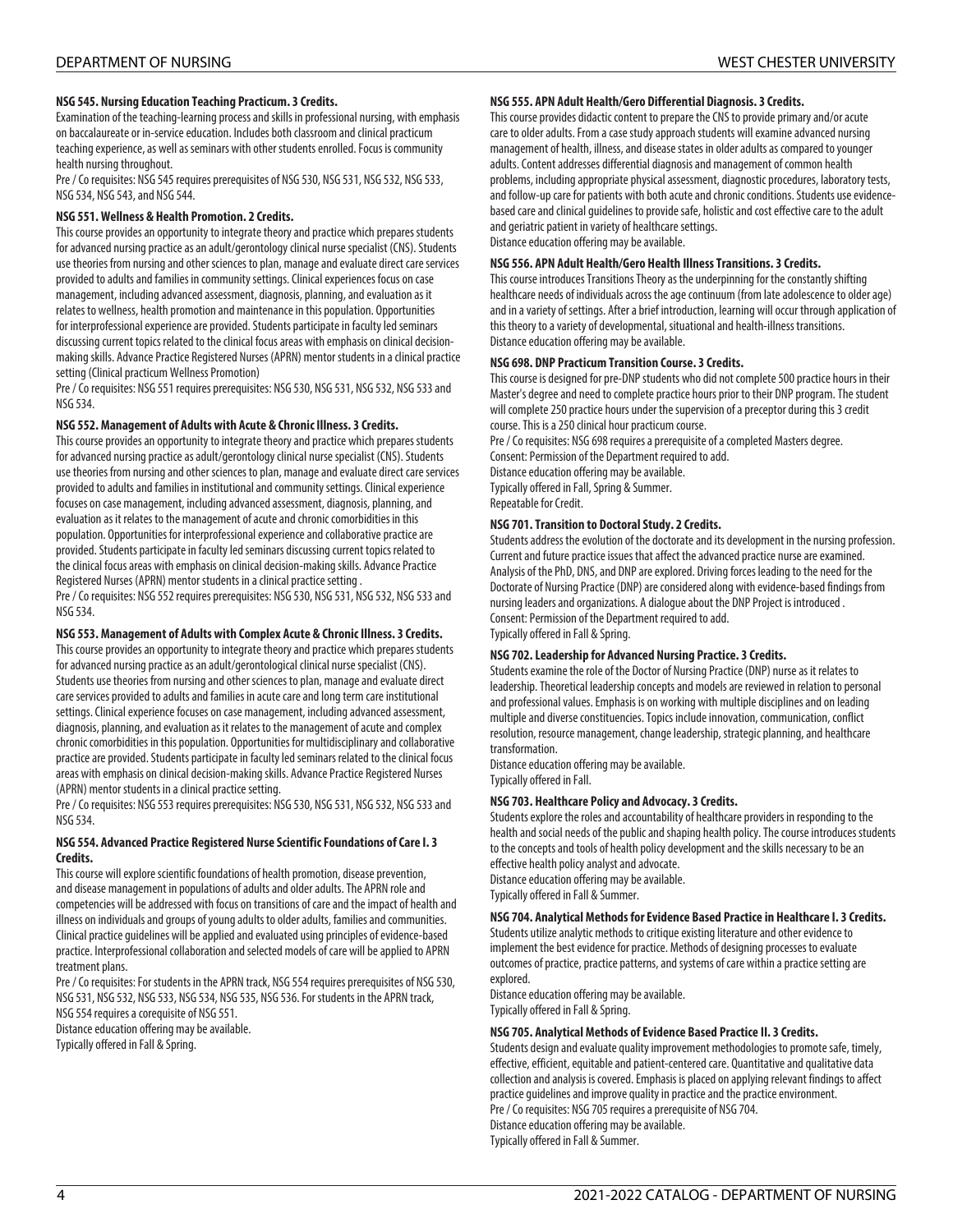#### **NSG 545. Nursing Education Teaching Practicum. 3 Credits.**

Examination of the teaching-learning process and skills in professional nursing, with emphasis on baccalaureate or in-service education. Includes both classroom and clinical practicum teaching experience, as well as seminars with other students enrolled. Focus is community health nursing throughout.

Pre / Co requisites: NSG 545 requires prerequisites of NSG 530, NSG 531, NSG 532, NSG 533, NSG 534, NSG 543, and NSG 544.

#### **NSG 551. Wellness & Health Promotion. 2 Credits.**

This course provides an opportunity to integrate theory and practice which prepares students for advanced nursing practice as an adult/gerontology clinical nurse specialist (CNS). Students use theories from nursing and other sciences to plan, manage and evaluate direct care services provided to adults and families in community settings. Clinical experiences focus on case management, including advanced assessment, diagnosis, planning, and evaluation as it relates to wellness, health promotion and maintenance in this population. Opportunities for interprofessional experience are provided. Students participate in faculty led seminars discussing current topics related to the clinical focus areas with emphasis on clinical decisionmaking skills. Advance Practice Registered Nurses (APRN) mentor students in a clinical practice setting (Clinical practicum Wellness Promotion)

Pre / Co requisites: NSG 551 requires prerequisites: NSG 530, NSG 531, NSG 532, NSG 533 and NSG 534.

#### **NSG 552. Management of Adults with Acute & Chronic Illness. 3 Credits.**

This course provides an opportunity to integrate theory and practice which prepares students for advanced nursing practice as adult/gerontology clinical nurse specialist (CNS). Students use theories from nursing and other sciences to plan, manage and evaluate direct care services provided to adults and families in institutional and community settings. Clinical experience focuses on case management, including advanced assessment, diagnosis, planning, and evaluation as it relates to the management of acute and chronic comorbidities in this population. Opportunities for interprofessional experience and collaborative practice are provided. Students participate in faculty led seminars discussing current topics related to the clinical focus areas with emphasis on clinical decision-making skills. Advance Practice Registered Nurses (APRN) mentor students in a clinical practice setting . Pre / Co requisites: NSG 552 requires prerequisites: NSG 530, NSG 531, NSG 532, NSG 533 and

NSG 534.

#### **NSG 553. Management of Adults with Complex Acute & Chronic Illness. 3 Credits.**

This course provides an opportunity to integrate theory and practice which prepares students for advanced nursing practice as an adult/gerontological clinical nurse specialist (CNS). Students use theories from nursing and other sciences to plan, manage and evaluate direct care services provided to adults and families in acute care and long term care institutional settings. Clinical experience focuses on case management, including advanced assessment, diagnosis, planning, and evaluation as it relates to the management of acute and complex chronic comorbidities in this population. Opportunities for multidisciplinary and collaborative practice are provided. Students participate in faculty led seminars related to the clinical focus areas with emphasis on clinical decision-making skills. Advance Practice Registered Nurses (APRN) mentor students in a clinical practice setting.

Pre / Co requisites: NSG 553 requires prerequisites: NSG 530, NSG 531, NSG 532, NSG 533 and NSG 534.

#### **NSG 554. Advanced Practice Registered Nurse Scientific Foundations of Care I. 3 Credits.**

This course will explore scientific foundations of health promotion, disease prevention, and disease management in populations of adults and older adults. The APRN role and competencies will be addressed with focus on transitions of care and the impact of health and illness on individuals and groups of young adults to older adults, families and communities. Clinical practice guidelines will be applied and evaluated using principles of evidence-based practice. Interprofessional collaboration and selected models of care will be applied to APRN treatment plans.

Pre / Co requisites: For students in the APRN track, NSG 554 requires prerequisites of NSG 530, NSG 531, NSG 532, NSG 533, NSG 534, NSG 535, NSG 536. For students in the APRN track, NSG 554 requires a corequisite of NSG 551.

Distance education offering may be available.

Typically offered in Fall & Spring.

#### **NSG 555. APN Adult Health/Gero Differential Diagnosis. 3 Credits.**

This course provides didactic content to prepare the CNS to provide primary and/or acute care to older adults. From a case study approach students will examine advanced nursing management of health, illness, and disease states in older adults as compared to younger adults. Content addresses differential diagnosis and management of common health problems, including appropriate physical assessment, diagnostic procedures, laboratory tests, and follow-up care for patients with both acute and chronic conditions. Students use evidencebased care and clinical guidelines to provide safe, holistic and cost effective care to the adult and geriatric patient in variety of healthcare settings. Distance education offering may be available.

#### **NSG 556. APN Adult Health/Gero Health Illness Transitions. 3 Credits.**

This course introduces Transitions Theory as the underpinning for the constantly shifting healthcare needs of individuals across the age continuum (from late adolescence to older age) and in a variety of settings. After a brief introduction, learning will occur through application of this theory to a variety of developmental, situational and health-illness transitions. Distance education offering may be available.

#### **NSG 698. DNP Practicum Transition Course. 3 Credits.**

This course is designed for pre-DNP students who did not complete 500 practice hours in their Master's degree and need to complete practice hours prior to their DNP program. The student will complete 250 practice hours under the supervision of a preceptor during this 3 credit course. This is a 250 clinical hour practicum course.

Pre / Co requisites: NSG 698 requires a prerequisite of a completed Masters degree. Consent: Permission of the Department required to add. Distance education offering may be available. Typically offered in Fall, Spring & Summer. Repeatable for Credit.

#### **NSG 701. Transition to Doctoral Study. 2 Credits.**

Students address the evolution of the doctorate and its development in the nursing profession. Current and future practice issues that affect the advanced practice nurse are examined. Analysis of the PhD, DNS, and DNP are explored. Driving forces leading to the need for the Doctorate of Nursing Practice (DNP) are considered along with evidence-based findings from nursing leaders and organizations. A dialogue about the DNP Project is introduced . Consent: Permission of the Department required to add. Typically offered in Fall & Spring.

#### **NSG 702. Leadership for Advanced Nursing Practice. 3 Credits.**

Students examine the role of the Doctor of Nursing Practice (DNP) nurse as it relates to leadership. Theoretical leadership concepts and models are reviewed in relation to personal and professional values. Emphasis is on working with multiple disciplines and on leading multiple and diverse constituencies. Topics include innovation, communication, conflict resolution, resource management, change leadership, strategic planning, and healthcare transformation.

Distance education offering may be available. Typically offered in Fall.

#### **NSG 703. Healthcare Policy and Advocacy. 3 Credits.**

Students explore the roles and accountability of healthcare providers in responding to the health and social needs of the public and shaping health policy. The course introduces students to the concepts and tools of health policy development and the skills necessary to be an effective health policy analyst and advocate. Distance education offering may be available.

Typically offered in Fall & Summer.

### **NSG 704. Analytical Methods for Evidence Based Practice in Healthcare I. 3 Credits.**

Students utilize analytic methods to critique existing literature and other evidence to implement the best evidence for practice. Methods of designing processes to evaluate outcomes of practice, practice patterns, and systems of care within a practice setting are explored.

Distance education offering may be available. Typically offered in Fall & Spring.

#### **NSG 705. Analytical Methods of Evidence Based Practice II. 3 Credits.**

Students design and evaluate quality improvement methodologies to promote safe, timely, effective, efficient, equitable and patient-centered care. Quantitative and qualitative data collection and analysis is covered. Emphasis is placed on applying relevant findings to affect practice guidelines and improve quality in practice and the practice environment. Pre / Co requisites: NSG 705 requires a prerequisite of NSG 704. Distance education offering may be available.